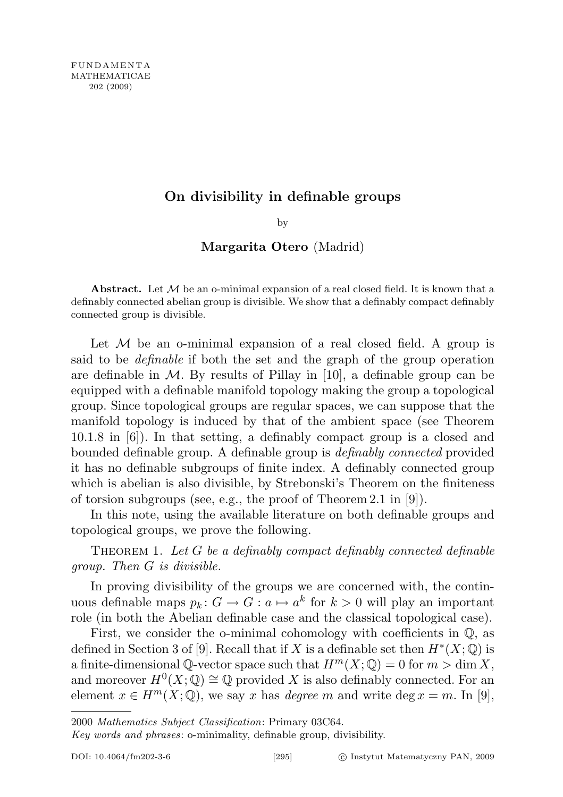## On divisibility in definable groups

by

## Margarita Otero (Madrid)

Abstract. Let  $M$  be an o-minimal expansion of a real closed field. It is known that a definably connected abelian group is divisible. We show that a definably compact definably connected group is divisible.

Let  $M$  be an o-minimal expansion of a real closed field. A group is said to be definable if both the set and the graph of the group operation are definable in  $M$ . By results of Pillay in [10], a definable group can be equipped with a definable manifold topology making the group a topological group. Since topological groups are regular spaces, we can suppose that the manifold topology is induced by that of the ambient space (see Theorem 10.1.8 in [6]). In that setting, a definably compact group is a closed and bounded definable group. A definable group is definably connected provided it has no definable subgroups of finite index. A definably connected group which is abelian is also divisible, by Strebonski's Theorem on the finiteness of torsion subgroups (see, e.g., the proof of Theorem 2.1 in [9]).

In this note, using the available literature on both definable groups and topological groups, we prove the following.

THEOREM 1. Let  $G$  be a definably compact definably connected definable group. Then G is divisible.

In proving divisibility of the groups we are concerned with, the continuous definable maps  $p_k: G \to G : a \mapsto a^k$  for  $k > 0$  will play an important role (in both the Abelian definable case and the classical topological case).

First, we consider the o-minimal cohomology with coefficients in  $\mathbb{Q}$ , as defined in Section 3 of [9]. Recall that if X is a definable set then  $H^*(X; \mathbb{Q})$  is a finite-dimensional  $\mathbb{Q}\text{-vector space such that } H^m(X; \mathbb{Q}) = 0 \text{ for } m > \dim X,$ and moreover  $H^0(X; \mathbb{Q}) \cong \mathbb{Q}$  provided X is also definably connected. For an element  $x \in H^m(X; \mathbb{Q})$ , we say x has *degree* m and write deg  $x = m$ . In [9],

Key words and phrases: o-minimality, definable group, divisibility.

<sup>2000</sup> Mathematics Subject Classification: Primary 03C64.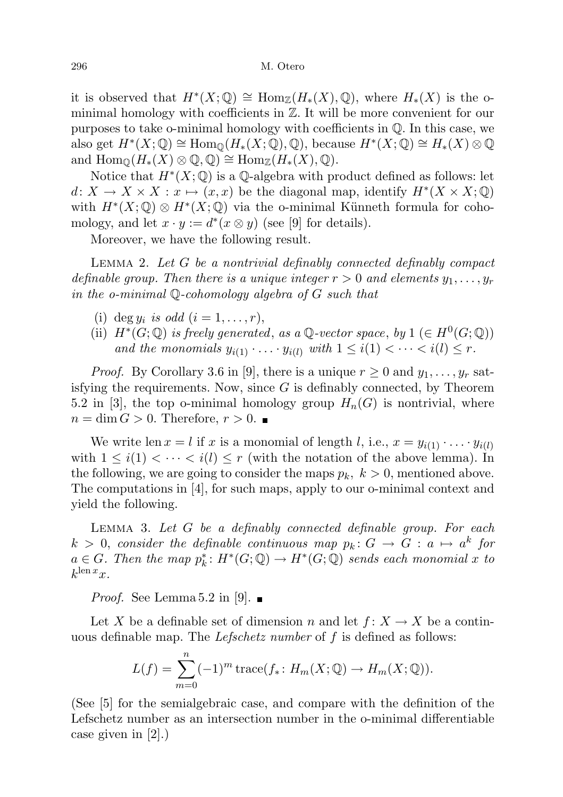it is observed that  $H^*(X; \mathbb{Q}) \cong \text{Hom}_{\mathbb{Z}}(H_*(X), \mathbb{Q})$ , where  $H_*(X)$  is the ominimal homology with coefficients in Z. It will be more convenient for our purposes to take o-minimal homology with coefficients in Q. In this case, we also get  $H^*(X; \mathbb{Q}) \cong \text{Hom}_{\mathbb{Q}}(H_*(X; \mathbb{Q}), \mathbb{Q})$ , because  $H^*(X; \mathbb{Q}) \cong H_*(X) \otimes \mathbb{Q}$ and  $\text{Hom}_{\mathbb{Q}}(H_*(X) \otimes \mathbb{Q}, \mathbb{Q}) \cong \text{Hom}_{\mathbb{Z}}(H_*(X), \mathbb{Q}).$ 

Notice that  $H^*(X; \mathbb{Q})$  is a  $\mathbb{Q}$ -algebra with product defined as follows: let  $d: X \to X \times X : x \mapsto (x, x)$  be the diagonal map, identify  $H^*(X \times X; \mathbb{Q})$ with  $H^*(X; \mathbb{Q}) \otimes H^*(X; \mathbb{Q})$  via the o-minimal Künneth formula for cohomology, and let  $x \cdot y := d^*(x \otimes y)$  (see [9] for details).

Moreover, we have the following result.

Lemma 2. Let G be a nontrivial definably connected definably compact definable group. Then there is a unique integer  $r > 0$  and elements  $y_1, \ldots, y_r$ in the o-minimal Q-cohomology algebra of G such that

- (i) deg  $y_i$  is odd  $(i = 1, \ldots, r)$ ,
- (ii)  $H^*(G; \mathbb{Q})$  is freely generated, as a  $\mathbb{Q}$ -vector space, by  $1 \in H^0(G; \mathbb{Q})$ ) and the monomials  $y_{i(1)} \cdot \ldots \cdot y_{i(l)}$  with  $1 \leq i(1) < \cdots < i(l) \leq r$ .

*Proof.* By Corollary 3.6 in [9], there is a unique  $r \geq 0$  and  $y_1, \ldots, y_r$  satisfying the requirements. Now, since  $G$  is definably connected, by Theorem 5.2 in [3], the top o-minimal homology group  $H_n(G)$  is nontrivial, where  $n = \dim G > 0$ . Therefore,  $r > 0$ .

We write len  $x = l$  if x is a monomial of length l, i.e.,  $x = y_{i(1)} \cdot \ldots \cdot y_{i(l)}$ with  $1 \leq i(1) < \cdots < i(l) \leq r$  (with the notation of the above lemma). In the following, we are going to consider the maps  $p_k$ ,  $k > 0$ , mentioned above. The computations in [4], for such maps, apply to our o-minimal context and yield the following.

LEMMA 3. Let  $G$  be a definably connected definable group. For each  $k > 0$ , consider the definable continuous map  $p_k: G \to G: a \mapsto a^k$  for  $a \in G$ . Then the map  $p_k^*: H^*(G; \mathbb{Q}) \to H^*(G; \mathbb{Q})$  sends each monomial x to  $k^{\operatorname{len} x}$ x.

*Proof.* See Lemma 5.2 in [9].  $\blacksquare$ 

Let X be a definable set of dimension n and let  $f: X \to X$  be a continuous definable map. The *Lefschetz number* of  $f$  is defined as follows:

$$
L(f) = \sum_{m=0}^{n} (-1)^m \operatorname{trace}(f_* \colon H_m(X; \mathbb{Q}) \to H_m(X; \mathbb{Q})).
$$

(See [5] for the semialgebraic case, and compare with the definition of the Lefschetz number as an intersection number in the o-minimal differentiable case given in [2].)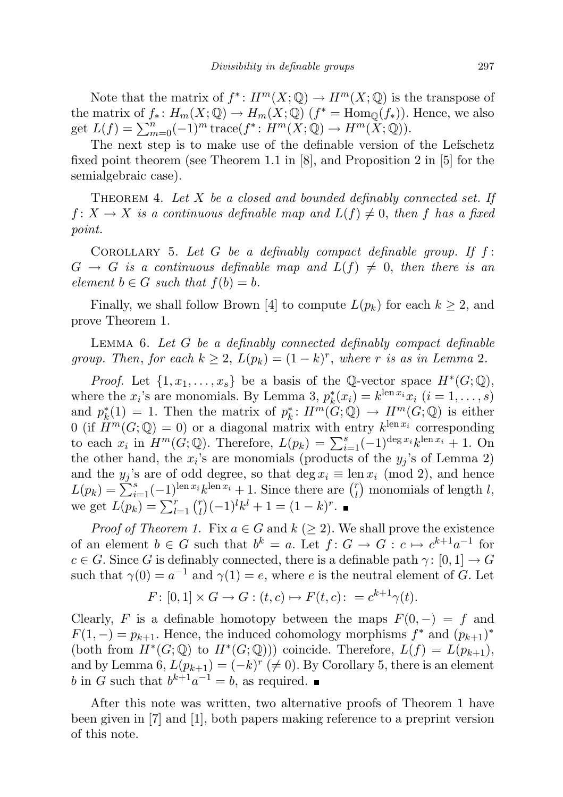Note that the matrix of  $f^*: H^m(X; \mathbb{Q}) \to H^m(X; \mathbb{Q})$  is the transpose of the matrix of  $f_*: H_m(X; \mathbb{Q}) \to H_m(X; \mathbb{Q})$   $(f^* = \text{Hom}_{\mathbb{Q}}(f_*))$ . Hence, we also get  $L(f) = \sum_{m=0}^{n} (-1)^m \operatorname{trace}(f^* : H^m(X; \mathbb{Q}) \to H^m(X; \mathbb{Q})).$ 

The next step is to make use of the definable version of the Lefschetz fixed point theorem (see Theorem 1.1 in [8], and Proposition 2 in [5] for the semialgebraic case).

THEOREM 4. Let  $X$  be a closed and bounded definably connected set. If  $f: X \to X$  is a continuous definable map and  $L(f) \neq 0$ , then f has a fixed point.

COROLLARY 5. Let  $G$  be a definably compact definable group. If  $f$ :  $G \rightarrow G$  is a continuous definable map and  $L(f) \neq 0$ , then there is an element  $b \in G$  such that  $f(b) = b$ .

Finally, we shall follow Brown [4] to compute  $L(p_k)$  for each  $k \geq 2$ , and prove Theorem 1.

LEMMA 6. Let  $G$  be a definably connected definably compact definable group. Then, for each  $k \geq 2$ ,  $L(p_k) = (1 - k)^r$ , where r is as in Lemma 2.

*Proof.* Let  $\{1, x_1, \ldots, x_s\}$  be a basis of the Q-vector space  $H^*(G; \mathbb{Q})$ , where the  $x_i$ 's are monomials. By Lemma 3,  $p_k^*(x_i) = k^{\text{len } x_i} x_i$   $(i = 1, ..., s)$ and  $p_k^*(1) = 1$ . Then the matrix of  $p_k^*: H^m(G; \mathbb{Q}) \to H^m(G; \mathbb{Q})$  is either 0 (if  $\hat{H}^m(G; \mathbb{Q}) = 0$ ) or a diagonal matrix with entry  $k^{\text{len } x_i}$  corresponding to each  $x_i$  in  $H^m(G; \mathbb{Q})$ . Therefore,  $L(p_k) = \sum_{i=1}^s (-1)^{\deg x_i} k^{\operatorname{len} x_i} + 1$ . On the other hand, the  $x_i$ 's are monomials (products of the  $y_j$ 's of Lemma 2) and the  $y_j$ 's are of odd degree, so that deg  $x_i \equiv \text{len } x_i \pmod{2}$ , and hence  $L(p_k) = \sum_{i=1}^{s} (-1)^{\text{len } x_i} k^{\text{len } x_i} + 1$ . Since there are  $\binom{r}{l}$  $\binom{r}{l}$  monomials of length  $l$ , we get  $L(p_k) = \sum_{l=1}^r \binom{r}{l}$  $\binom{r}{l}(-1)^{l}k^{l}+1=(1-k)^{r}.$ 

*Proof of Theorem 1.* Fix  $a \in G$  and  $k (> 2)$ . We shall prove the existence of an element  $b \in G$  such that  $b^k = a$ . Let  $f: G \to G: c \mapsto c^{k+1}a^{-1}$  for  $c \in G$ . Since G is definably connected, there is a definable path  $\gamma : [0, 1] \to G$ such that  $\gamma(0) = a^{-1}$  and  $\gamma(1) = e$ , where e is the neutral element of G. Let

$$
F \colon [0,1] \times G \to G : (t,c) \mapsto F(t,c) \colon = c^{k+1} \gamma(t).
$$

Clearly, F is a definable homotopy between the maps  $F(0, -) = f$  and  $F(1, -) = p_{k+1}$ . Hence, the induced cohomology morphisms  $f^*$  and  $(p_{k+1})^*$ (both from  $H^*(G; \mathbb{Q})$  to  $H^*(G; \mathbb{Q}))$ ) coincide. Therefore,  $L(f) = L(p_{k+1}),$ and by Lemma 6,  $L(p_{k+1}) = (-k)^r \ (\neq 0)$ . By Corollary 5, there is an element b in G such that  $b^{k+1}a^{-1} = b$ , as required.

After this note was written, two alternative proofs of Theorem 1 have been given in [7] and [1], both papers making reference to a preprint version of this note.